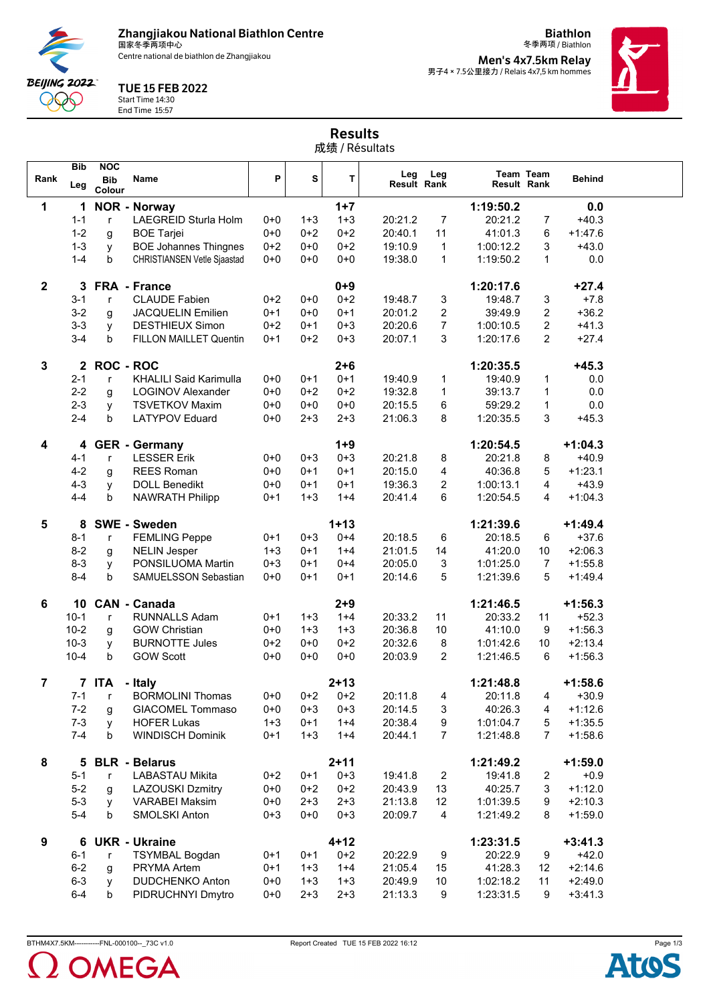**Zhangjiakou National Biathlon Centre** 国家冬季两项中心

**BEIJING 2022**  $\lambda$ 

Centre national de biathlon de Zhangjiakou

TUE 15 FEB 2022

Start Time 14:30 End Time 15:57

冬季两项 / Biathlon **Men's 4x7.5km Relay** 男子4×7.5公里接力 / Relais 4x7,5 km hommes

**Biathlon**



|                | 成绩 / Résultats    |                                    |                               |         |         |          |                           |                |             |                  |               |
|----------------|-------------------|------------------------------------|-------------------------------|---------|---------|----------|---------------------------|----------------|-------------|------------------|---------------|
| Rank           | <b>Bib</b><br>Leg | <b>NOC</b><br><b>Bib</b><br>Colour | Name                          | P       | S       | T        | Leg<br><b>Result Rank</b> | Leg            | Result Rank | <b>Team Team</b> | <b>Behind</b> |
| 1              | 1                 |                                    | <b>NOR - Norway</b>           |         |         | $1 + 7$  |                           |                | 1:19:50.2   |                  | 0.0           |
|                | $1 - 1$           | r                                  | LAEGREID Sturla Holm          | $0+0$   | $1 + 3$ | $1 + 3$  | 20:21.2                   | $\overline{7}$ | 20:21.2     | $\overline{7}$   | $+40.3$       |
|                | $1 - 2$           | g                                  | <b>BOE Tarjei</b>             | $0 + 0$ | $0+2$   | $0 + 2$  | 20:40.1                   | 11             | 41:01.3     | 6                | $+1.47.6$     |
|                | $1 - 3$           | y                                  | <b>BOE Johannes Thingnes</b>  | $0 + 2$ | $0 + 0$ | $0 + 2$  | 19:10.9                   | 1              | 1:00:12.2   | 3                | $+43.0$       |
|                | $1 - 4$           | b                                  | CHRISTIANSEN Vetle Sjaastad   | $0 + 0$ | $0 + 0$ | $0 + 0$  | 19:38.0                   | $\mathbf{1}$   | 1:19:50.2   | 1                | 0.0           |
| $\mathbf{2}$   | 3                 |                                    | FRA - France                  |         |         | $0 + 9$  |                           |                | 1:20:17.6   |                  | $+27.4$       |
|                | $3 - 1$           | r                                  | <b>CLAUDE Fabien</b>          | $0+2$   | $0+0$   | $0 + 2$  | 19:48.7                   | 3              | 19:48.7     | 3                | $+7.8$        |
|                | $3-2$             | g                                  | <b>JACQUELIN Emilien</b>      | $0+1$   | $0+0$   | $0 + 1$  | 20:01.2                   | $\overline{2}$ | 39:49.9     | 2                | $+36.2$       |
|                | $3 - 3$           | y                                  | <b>DESTHIEUX Simon</b>        | $0+2$   | $0+1$   | $0 + 3$  | 20:20.6                   | $\overline{7}$ | 1:00:10.5   | $\overline{2}$   | $+41.3$       |
|                | $3 - 4$           | b                                  | FILLON MAILLET Quentin        | $0+1$   | $0+2$   | $0 + 3$  | 20:07.1                   | 3              | 1:20:17.6   | $\overline{2}$   | $+27.4$       |
| 3              | $\mathbf{2}$      | <b>ROC - ROC</b>                   |                               |         |         | $2 + 6$  |                           |                | 1:20:35.5   |                  | $+45.3$       |
|                | $2 - 1$           | r                                  | <b>KHALILI Said Karimulla</b> | $0+0$   | $0+1$   | $0 + 1$  | 19:40.9                   | 1              | 19:40.9     | 1                | 0.0           |
|                | $2 - 2$           | g                                  | <b>LOGINOV Alexander</b>      | $0+0$   | $0+2$   | $0 + 2$  | 19:32.8                   | 1              | 39:13.7     | 1                | $0.0\,$       |
|                | $2 - 3$           | y                                  | <b>TSVETKOV Maxim</b>         | $0 + 0$ | $0 + 0$ | $0 + 0$  | 20:15.5                   | 6              | 59:29.2     | 1                | 0.0           |
|                | $2 - 4$           | b                                  | <b>LATYPOV Eduard</b>         | $0 + 0$ | $2 + 3$ | $2 + 3$  | 21:06.3                   | 8              | 1:20:35.5   | 3                | $+45.3$       |
| 4              | 4                 |                                    | <b>GER</b> - Germany          |         |         | $1 + 9$  |                           |                | 1:20:54.5   |                  | $+1:04.3$     |
|                | $4 - 1$           | r                                  | <b>LESSER Erik</b>            | $0 + 0$ | $0 + 3$ | $0 + 3$  | 20:21.8                   | 8              | 20:21.8     | 8                | $+40.9$       |
|                | $4 - 2$           | g                                  | <b>REES Roman</b>             | $0 + 0$ | $0 + 1$ | $0 + 1$  | 20:15.0                   | 4              | 40:36.8     | 5                | $+1:23.1$     |
|                | $4 - 3$           | y                                  | <b>DOLL Benedikt</b>          | $0 + 0$ | $0+1$   | $0 + 1$  | 19:36.3                   | $\overline{2}$ | 1:00:13.1   | 4                | $+43.9$       |
|                | $4 - 4$           | b                                  | <b>NAWRATH Philipp</b>        | $0+1$   | $1 + 3$ | $1 + 4$  | 20:41.4                   | 6              | 1:20:54.5   | 4                | $+1:04.3$     |
| 5              | 8                 |                                    | <b>SWE - Sweden</b>           |         |         | $1 + 13$ |                           |                | 1:21:39.6   |                  | $+1:49.4$     |
|                | $8 - 1$           | r                                  | <b>FEMLING Peppe</b>          | $0+1$   | $0 + 3$ | $0 + 4$  | 20:18.5                   | 6              | 20:18.5     | 6                | $+37.6$       |
|                | $8 - 2$           | g                                  | <b>NELIN Jesper</b>           | $1 + 3$ | $0+1$   | $1 + 4$  | 21:01.5                   | 14             | 41:20.0     | 10               | $+2:06.3$     |
|                | $8 - 3$           | y                                  | PONSILUOMA Martin             | $0 + 3$ | $0+1$   | $0 + 4$  | 20:05.0                   | 3              | 1:01:25.0   | $\overline{7}$   | $+1:55.8$     |
|                | $8 - 4$           | b                                  | SAMUELSSON Sebastian          | $0 + 0$ | $0 + 1$ | $0 + 1$  | 20:14.6                   | 5              | 1:21:39.6   | 5                | $+1.49.4$     |
| 6              | 10                |                                    | <b>CAN - Canada</b>           |         |         | $2 + 9$  |                           |                | 1:21:46.5   |                  | $+1:56.3$     |
|                | $10-1$            | r                                  | <b>RUNNALLS Adam</b>          | $0+1$   | $1 + 3$ | $1 + 4$  | 20:33.2                   | 11             | 20:33.2     | 11               | $+52.3$       |
|                | $10 - 2$          | g                                  | <b>GOW Christian</b>          | $0 + 0$ | $1 + 3$ | $1 + 3$  | 20:36.8                   | 10             | 41:10.0     | 9                | $+1:56.3$     |
|                | $10-3$            | у                                  | <b>BURNOTTE Jules</b>         | $0 + 2$ | $0 + 0$ | $0 + 2$  | 20:32.6                   | 8              | 1:01:42.6   | 10               | $+2:13.4$     |
|                | $10 - 4$          | b                                  | <b>GOW Scott</b>              | $0 + 0$ | $0 + 0$ | $0 + 0$  | 20:03.9                   | $\overline{2}$ | 1:21:46.5   | 6                | $+1:56.3$     |
| $\overline{7}$ |                   | 7 ITA                              | - Italy                       |         |         | $2 + 13$ |                           |                | 1:21:48.8   |                  | $+1:58.6$     |
|                | $7 - 1$           | r                                  | <b>BORMOLINI Thomas</b>       | $0+0$   | $0 + 2$ | $0 + 2$  | 20:11.8                   | 4              | 20:11.8     | 4                | $+30.9$       |
|                | $7 - 2$           | g                                  | <b>GIACOMEL Tommaso</b>       | $0+0$   | $0 + 3$ | $0 + 3$  | 20:14.5                   | 3              | 40:26.3     | 4                | $+1:12.6$     |
|                | $7 - 3$           | y                                  | <b>HOFER Lukas</b>            | $1 + 3$ | $0 + 1$ | $1 + 4$  | 20:38.4                   | 9              | 1:01:04.7   | 5                | $+1:35.5$     |
|                | $7 - 4$           | b                                  | <b>WINDISCH Dominik</b>       | $0 + 1$ | $1 + 3$ | $1 + 4$  | 20:44.1                   | $\overline{7}$ | 1:21:48.8   | $\overline{7}$   | $+1:58.6$     |
| 8              | 5                 |                                    | <b>BLR</b> - Belarus          |         |         | $2 + 11$ |                           |                | 1:21:49.2   |                  | $+1:59.0$     |
|                | $5 - 1$           | r                                  | <b>LABASTAU Mikita</b>        | $0 + 2$ | $0+1$   | $0 + 3$  | 19:41.8                   | 2              | 19:41.8     | 2                | $+0.9$        |
|                | $5-2$             | g                                  | <b>LAZOUSKI Dzmitry</b>       | $0+0$   | $0 + 2$ | $0 + 2$  | 20:43.9                   | 13             | 40:25.7     | 3                | $+1:12.0$     |
|                | $5 - 3$           | у                                  | <b>VARABEI Maksim</b>         | $0+0$   | $2 + 3$ | $2 + 3$  | 21:13.8                   | 12             | 1:01:39.5   | 9                | $+2:10.3$     |
|                | $5-4$             | b                                  | SMOLSKI Anton                 | $0 + 3$ | $0+0$   | $0 + 3$  | 20:09.7                   | 4              | 1:21:49.2   | 8                | $+1:59.0$     |
|                |                   |                                    |                               |         |         |          |                           |                |             |                  |               |

Results



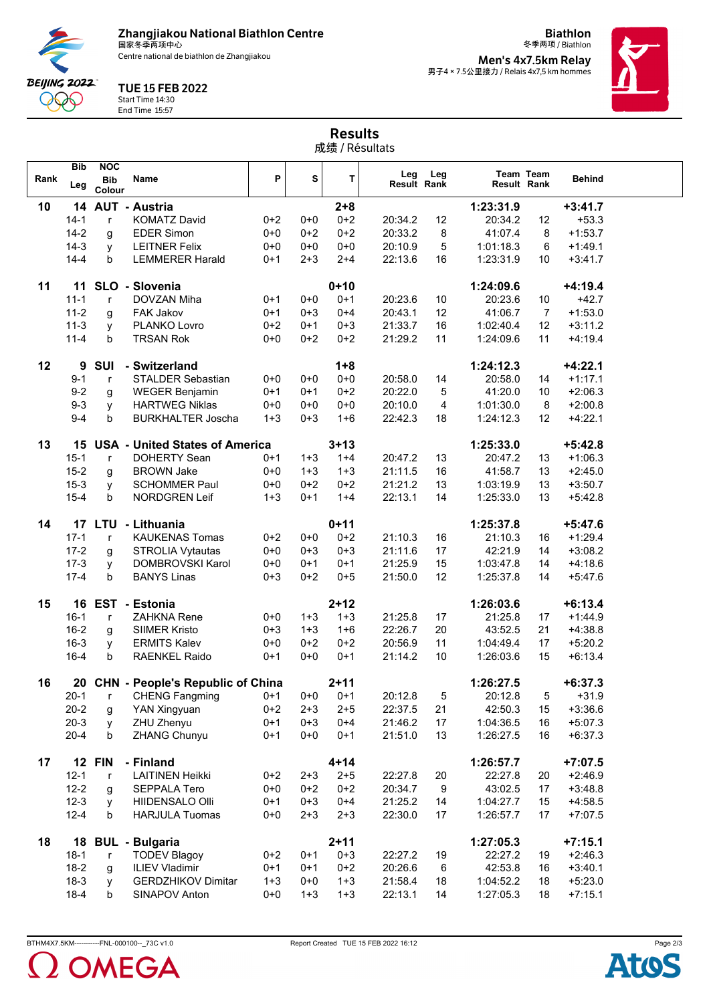**Zhangjiakou National Biathlon Centre** 国家冬季两项中心

Centre national de biathlon de Zhangjiakou

**BEIJING 2022** DQQ

## TUE 15 FEB 2022

Start Time 14:30 End Time 15:57

冬季两项 / Biathlon **Men's 4x7.5km Relay<br>男子4 × 7.5公里接力 / Relais 4x7,5 km hommes** 

**Biathlon**



| <b>Results</b><br>成绩 / Résultats |                      |                                    |                                             |                    |                    |                     |                    |                  |                        |           |                        |  |
|----------------------------------|----------------------|------------------------------------|---------------------------------------------|--------------------|--------------------|---------------------|--------------------|------------------|------------------------|-----------|------------------------|--|
| Rank                             | <b>Bib</b><br>Leg    | <b>NOC</b><br><b>Bib</b><br>Colour | Name                                        | P                  | S                  | т                   | Leg<br>Result Rank | Leg              | Result Rank            | Team Team | <b>Behind</b>          |  |
| 10                               |                      |                                    | 14 AUT - Austria                            |                    |                    | $2 + 8$             |                    |                  | 1:23:31.9              |           | $+3:41.7$              |  |
|                                  | $14 - 1$             | $\mathsf{r}$                       | <b>KOMATZ David</b>                         | $0 + 2$            | $0+0$              | $0 + 2$             | 20:34.2            | 12               | 20:34.2                | 12        | $+53.3$                |  |
|                                  | $14 - 2$             | g                                  | <b>EDER Simon</b>                           | $0 + 0$            | $0+2$              | $0+2$               | 20:33.2            | 8                | 41:07.4                | 8         | $+1:53.7$              |  |
|                                  | $14-3$               | y                                  | <b>LEITNER Felix</b>                        | $0 + 0$            | $0 + 0$            | $0+0$               | 20:10.9            | 5                | 1:01:18.3              | 6         | $+1.49.1$              |  |
|                                  | $14 - 4$             | b                                  | <b>LEMMERER Harald</b>                      | $0 + 1$            | $2 + 3$            | $2 + 4$             | 22:13.6            | 16               | 1:23:31.9              | 10        | $+3:41.7$              |  |
| 11                               | 11                   |                                    | SLO - Slovenia                              |                    |                    | $0 + 10$            |                    |                  | 1:24:09.6              |           | $+4:19.4$              |  |
|                                  | $11 - 1$             | $\mathsf{r}$                       | DOVZAN Miha                                 | $0+1$              | $0 + 0$            | $0 + 1$             | 20:23.6            | 10               | 20:23.6                | 10        | $+42.7$                |  |
|                                  | $11 - 2$             | g                                  | FAK Jakov                                   | $0 + 1$            | $0 + 3$            | $0 + 4$             | 20:43.1            | 12               | 41:06.7                | 7         | $+1:53.0$              |  |
|                                  | $11-3$               | у                                  | PLANKO Lovro                                | $0+2$              | $0 + 1$            | $0 + 3$             | 21:33.7            | 16               | 1:02:40.4              | 12        | $+3:11.2$              |  |
|                                  | $11 - 4$             | b                                  | <b>TRSAN Rok</b>                            | $0 + 0$            | $0 + 2$            | $0 + 2$             | 21:29.2            | 11               | 1:24:09.6              | 11        | $+4.19.4$              |  |
| 12                               | 9                    | <b>SUI</b>                         | - Switzerland                               |                    |                    | $1 + 8$             |                    |                  | 1:24:12.3              |           | $+4:22.1$              |  |
|                                  | $9 - 1$              | $\mathsf{r}$                       | <b>STALDER Sebastian</b>                    | $0 + 0$            | $0 + 0$            | $0 + 0$             | 20:58.0            | 14               | 20:58.0                | 14        | $+1:17.1$              |  |
|                                  | $9 - 2$              | g                                  | <b>WEGER Benjamin</b>                       | $0 + 1$            | $0 + 1$            | $0 + 2$             | 20:22.0            | 5                | 41:20.0                | 10        | $+2:06.3$              |  |
|                                  | $9 - 3$              | y                                  | <b>HARTWEG Niklas</b>                       | $0 + 0$            | $0 + 0$            | $0 + 0$             | 20:10.0            | 4                | 1:01:30.0              | 8         | $+2:00.8$              |  |
|                                  | $9 - 4$              | b                                  | <b>BURKHALTER Joscha</b>                    | $1 + 3$            | $0 + 3$            | $1 + 6$             | 22:42.3            | 18               | 1:24:12.3              | 12        | $+4:22.1$              |  |
| 13                               | 15                   |                                    | <b>USA - United States of America</b>       |                    |                    | $3 + 13$            |                    |                  | 1:25:33.0              |           | $+5:42.8$              |  |
|                                  | $15 - 1$             | $\mathsf{r}$                       | <b>DOHERTY Sean</b>                         | $0 + 1$            | $1 + 3$            | $1 + 4$             | 20:47.2            | 13               | 20:47.2                | 13        | $+1:06.3$              |  |
|                                  | $15 - 2$             |                                    | <b>BROWN Jake</b>                           | $0 + 0$            | $1 + 3$            | $1 + 3$             | 21:11.5            | 16               | 41:58.7                | 13        | $+2:45.0$              |  |
|                                  | $15 - 3$             | g<br>У                             | <b>SCHOMMER Paul</b>                        | $0 + 0$            | $0+2$              | $0+2$               | 21:21.2            | 13               | 1:03:19.9              | 13        | $+3:50.7$              |  |
|                                  | $15 - 4$             | b                                  | NORDGREN Leif                               | $1 + 3$            | $0 + 1$            | $1 + 4$             | 22:13.1            | 14               | 1:25:33.0              | 13        | $+5:42.8$              |  |
| 14                               |                      |                                    |                                             |                    |                    |                     |                    |                  |                        |           |                        |  |
|                                  | $17 - 1$             |                                    | 17 LTU - Lithuania<br><b>KAUKENAS Tomas</b> | $0+2$              | $0 + 0$            | $0 + 11$<br>$0 + 2$ | 21:10.3            | 16               | 1:25:37.8<br>21:10.3   | 16        | $+5:47.6$<br>$+1:29.4$ |  |
|                                  | $17 - 2$             | $\mathsf{r}$                       | <b>STROLIA Vytautas</b>                     | $0 + 0$            | $0 + 3$            | $0 + 3$             | 21:11.6            | 17               | 42:21.9                | 14        | $+3:08.2$              |  |
|                                  | $17-3$               | g<br>y                             | DOMBROVSKI Karol                            | $0 + 0$            | $0+1$              | $0+1$               | 21:25.9            | 15               | 1:03:47.8              | 14        | $+4:18.6$              |  |
|                                  | $17 - 4$             | b                                  | <b>BANYS Linas</b>                          | $0 + 3$            | $0+2$              | $0 + 5$             | 21:50.0            | 12               | 1:25:37.8              | 14        | $+5:47.6$              |  |
|                                  |                      |                                    |                                             |                    |                    |                     |                    |                  |                        |           |                        |  |
| 15                               | 16                   |                                    | EST - Estonia                               |                    |                    | $2 + 12$            |                    |                  | 1:26:03.6              |           | $+6:13.4$              |  |
|                                  | $16 - 1$             | $\mathsf{r}$                       | ZAHKNA Rene                                 | 0+0                | $1 + 3$            | $1 + 3$             | 21:25.8            | 17               | 21:25.8                | 17        | $+1:44.9$              |  |
|                                  | $16 - 2$<br>$16 - 3$ | g                                  | <b>SIIMER Kristo</b><br><b>ERMITS Kalev</b> | $0 + 3$<br>$0 + 0$ | $1 + 3$<br>$0+2$   | $1 + 6$<br>$0 + 2$  | 22:26.7<br>20:56.9 | 20<br>11         | 43:52.5<br>1:04:49.4   | 21<br>17  | $+4:38.8$<br>$+5:20.2$ |  |
|                                  | $16 - 4$             | y<br>b                             | <b>RAENKEL Raido</b>                        | $0+1$              | $0 + 0$            | $0 + 1$             | 21:14.2            | 10               | 1:26:03.6              | 15        | $+6:13.4$              |  |
|                                  |                      |                                    |                                             |                    |                    |                     |                    |                  |                        |           |                        |  |
| 16                               |                      |                                    | 20 CHN - People's Republic of China         |                    |                    | $2 + 11$            |                    |                  | 1:26:27.5              |           | $+6:37.3$              |  |
|                                  | $20 - 1$             | $\mathsf{r}$                       | <b>CHENG Fangming</b>                       | $0 + 1$            | $0 + 0$            | $0 + 1$             | 20:12.8            | 5                | 20:12.8                | 5         | $+31.9$                |  |
|                                  | $20 - 2$             | g                                  | YAN Xingyuan                                | $0 + 2$            | $2 + 3$            | $2 + 5$             | 22:37.5            | 21               | 42:50.3                | 15        | $+3:36.6$<br>$+5:07.3$ |  |
|                                  | $20 - 3$<br>$20 - 4$ | y<br>b                             | ZHU Zhenyu<br>ZHANG Chunyu                  | $0 + 1$<br>$0 + 1$ | $0 + 3$<br>$0 + 0$ | $0 + 4$<br>$0 + 1$  | 21:46.2<br>21:51.0 | 17<br>13         | 1:04:36.5<br>1:26:27.5 | 16<br>16  | $+6.37.3$              |  |
|                                  |                      |                                    |                                             |                    |                    |                     |                    |                  |                        |           |                        |  |
| 17                               |                      | <b>12 FIN</b>                      | - Finland                                   |                    |                    | $4 + 14$            |                    |                  | 1:26:57.7              |           | $+7:07.5$              |  |
|                                  | $12 - 1$             | $\mathsf r$                        | <b>LAITINEN Heikki</b>                      | $0 + 2$            | $2 + 3$            | $2 + 5$             | 22:27.8            | 20               | 22:27.8                | 20        | $+2:46.9$              |  |
|                                  | $12 - 2$             | g                                  | SEPPALA Tero                                | $0 + 0$            | $0 + 2$            | $0 + 2$             | 20:34.7            | $\boldsymbol{9}$ | 43:02.5                | 17        | $+3:48.8$              |  |
|                                  | $12 - 3$             | У                                  | HIIDENSALO Olli                             | $0+1$              | $0 + 3$            | $0 + 4$             | 21:25.2            | 14               | 1:04:27.7              | 15        | $+4.58.5$              |  |
|                                  | $12 - 4$             | b                                  | <b>HARJULA Tuomas</b>                       | $0 + 0$            | $2 + 3$            | $2 + 3$             | 22:30.0            | 17               | 1:26:57.7              | 17        | $+7:07.5$              |  |
| 18                               |                      |                                    | 18 BUL - Bulgaria                           |                    |                    | $2 + 11$            |                    |                  | 1:27:05.3              |           | $+7:15.1$              |  |
|                                  | $18-1$               | $\mathsf{r}$                       | <b>TODEV Blagoy</b>                         | $0+2$              | $0+1$              | $0 + 3$             | 22:27.2            | 19               | 22:27.2                | 19        | $+2:46.3$              |  |
|                                  | $18 - 2$             | g                                  | <b>ILIEV Vladimir</b>                       | $0 + 1$            | $0 + 1$            | $0 + 2$             | 20:26.6            | 6                | 42:53.8                | 16        | $+3:40.1$              |  |





18-3 y GERDZHIKOV Dimitar 1+3 0+0 1+3 21:58.4 18 1:04:52.2 18 +5:23.0 18-4 b SINAPOV Anton 0+0 1+3 1+3 22:13.1 14 1:27:05.3 18 +7:15.1